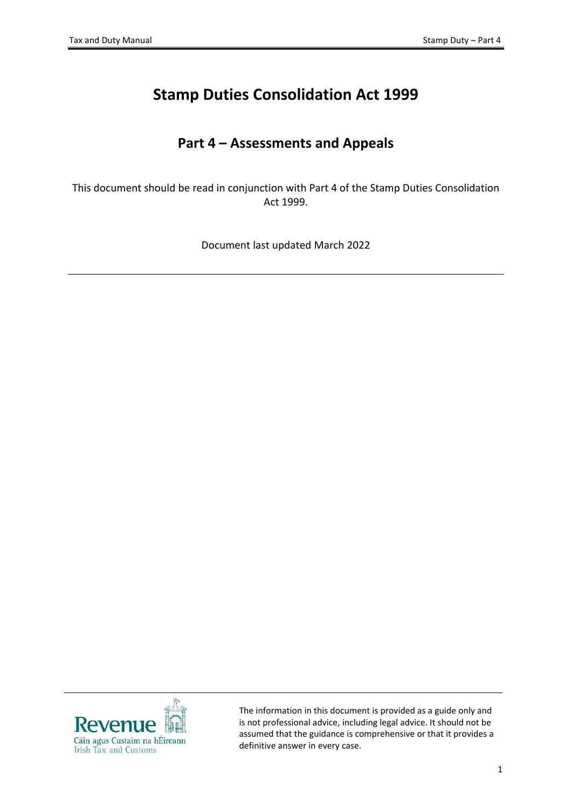# **Stamp Duties Consolidation Act 1999**

## **Part 4 – Assessments and Appeals**

This document should be read in conjunction with Part 4 of the Stamp Duties Consolidation Act 1999.

Document last updated March 2022



The information in this document is provided as a guide only and is not professional advice, including legal advice. It should not be assumed that the guidance is comprehensive or that it provides a definitive answer in every case.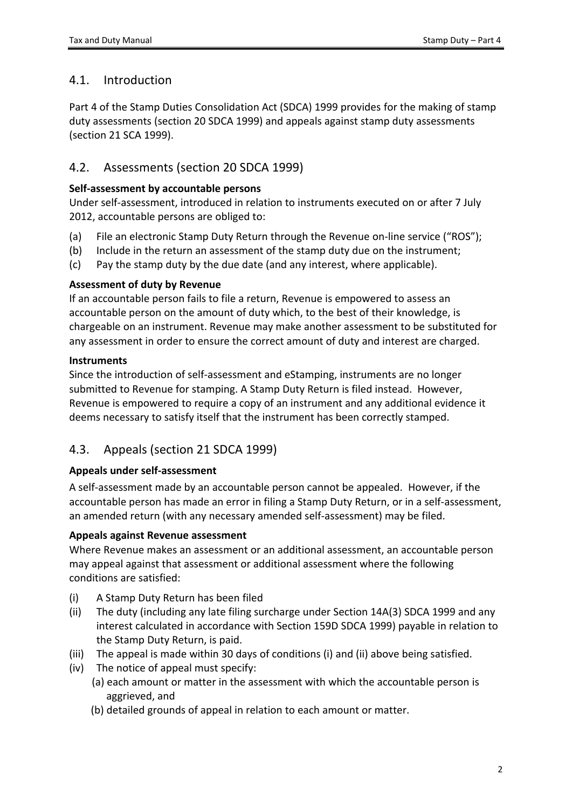### 4.1. Introduction

Part 4 of the Stamp Duties Consolidation Act (SDCA) 1999 provides for the making of stamp duty assessments (section 20 SDCA 1999) and appeals against stamp duty assessments (section 21 SCA 1999).

## 4.2. Assessments (section 20 SDCA 1999)

#### **Self-assessment by accountable persons**

Under self-assessment, introduced in relation to instruments executed on or after 7 July 2012, accountable persons are obliged to:

- (a) File an electronic Stamp Duty Return through the Revenue on-line service ("ROS");
- (b) Include in the return an assessment of the stamp duty due on the instrument;
- (c) Pay the stamp duty by the due date (and any interest, where applicable).

#### **Assessment of duty by Revenue**

If an accountable person fails to file a return, Revenue is empowered to assess an accountable person on the amount of duty which, to the best of their knowledge, is chargeable on an instrument. Revenue may make another assessment to be substituted for any assessment in order to ensure the correct amount of duty and interest are charged.

#### **Instruments**

Since the introduction of self-assessment and eStamping, instruments are no longer submitted to Revenue for stamping. A Stamp Duty Return is filed instead. However, Revenue is empowered to require a copy of an instrument and any additional evidence it deems necessary to satisfy itself that the instrument has been correctly stamped.

## 4.3. Appeals (section 21 SDCA 1999)

#### **Appeals under self-assessment**

A self-assessment made by an accountable person cannot be appealed. However, if the accountable person has made an error in filing a Stamp Duty Return, or in a self-assessment, an amended return (with any necessary amended self-assessment) may be filed.

#### **Appeals against Revenue assessment**

Where Revenue makes an assessment or an additional assessment, an accountable person may appeal against that assessment or additional assessment where the following conditions are satisfied:

- (i) A Stamp Duty Return has been filed
- (ii) The duty (including any late filing surcharge under Section 14A(3) SDCA 1999 and any interest calculated in accordance with Section 159D SDCA 1999) payable in relation to the Stamp Duty Return, is paid.
- (iii) The appeal is made within 30 days of conditions (i) and (ii) above being satisfied.
- (iv) The notice of appeal must specify:
	- (a) each amount or matter in the assessment with which the accountable person is aggrieved, and
	- (b) detailed grounds of appeal in relation to each amount or matter.